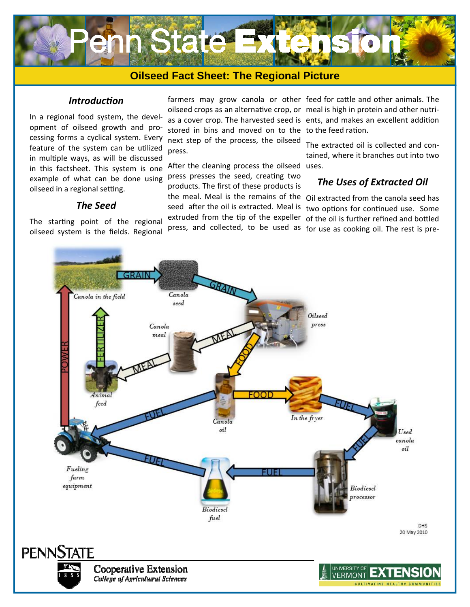

# **Oilseed Fact Sheet: The Regional Picture**

#### *IntroducƟon*

In a regional food system, the development of oilseed growth and processing forms a cyclical system. Every feature of the system can be utilized in multiple ways, as will be discussed in this factsheet. This system is one example of what can be done using oilseed in a regional setting.

#### *The Seed*

The starting point of the regional oilseed system is the fields. Regional

oilseed crops as an alternative crop, or meal is high in protein and other nutrias a cover crop. The harvested seed is ents, and makes an excellent addition stored in bins and moved on to the to the feed ration. next step of the process, the oilseed press.

After the cleaning process the oilseed uses. press presses the seed, creating two products. The first of these products is the meal. Meal is the remains of the Oil extracted from the canola seed has press, and collected, to be used as for use as cooking oil. The rest is pre-

farmers may grow canola or other feed for cattle and other animals. The

The extracted oil is collected and contained, where it branches out into two

## *The Uses of Extracted Oil*

seed after the oil is extracted. Meal is two options for continued use. Some extruded from the tip of the expeller of the oil is further refined and bottled